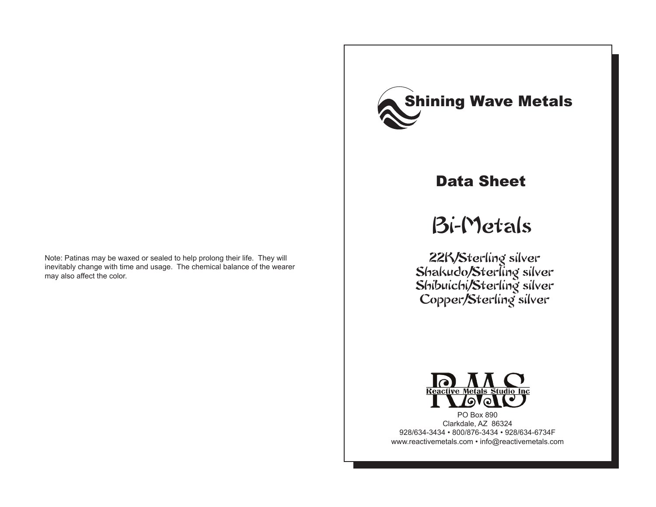Note: Patinas may be waxed or sealed to help prolong their life. They will inevitably change with time and usage. The chemical balance of the wearer may also affect the color.



## Data Sheet

# Bi-Metals

22K/Sterling silver Shakudo/Sterling silver Shibuichi/Sterling silver Copper/Sterling silver



PO Box 890 Clarkdale, AZ 86324 928/634-3434 • 800/876-3434 • 928/634-6734F www.reactivemetals.com • info@reactivemetals.com